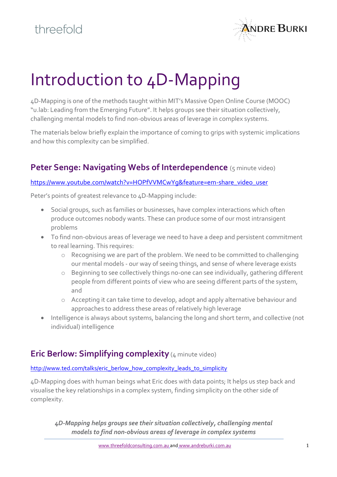

# Introduction to 4D-Mapping

4D-Mapping is one of the methods taught within MIT's Massive Open Online Course (MOOC) "u.lab: Leading from the Emerging Future". It helps groups see their situation collectively, challenging mental models to find non-obvious areas of leverage in complex systems.

The materials below briefly explain the importance of coming to grips with systemic implications and how this complexity can be simplified.

### **Peter Senge: Navigating Webs of Interdependence** (5 minute video)

#### [https://www.youtube.com/watch?v=HOPfVVMCwYg&feature=em-share\\_video\\_user](https://www.youtube.com/watch?v=HOPfVVMCwYg&feature=em-share_video_user)

Peter's points of greatest relevance to 4D-Mapping include:

- Social groups, such as families or businesses, have complex interactions which often produce outcomes nobody wants. These can produce some of our most intransigent problems
- To find non-obvious areas of leverage we need to have a deep and persistent commitment to real learning. This requires:
	- o Recognising we are part of the problem. We need to be committed to challenging our mental models - our way of seeing things, and sense of where leverage exists
	- o Beginning to see collectively things no-one can see individually, gathering different people from different points of view who are seeing different parts of the system, and
	- o Accepting it can take time to develop, adopt and apply alternative behaviour and approaches to address these areas of relatively high leverage
- Intelligence is always about systems, balancing the long and short term, and collective (not individual) intelligence

## **Eric Berlow: Simplifying complexity** (4 minute video)

#### [http://www.ted.com/talks/eric\\_berlow\\_how\\_complexity\\_leads\\_to\\_simplicity](http://www.ted.com/talks/eric_berlow_how_complexity_leads_to_simplicity)

4D-Mapping does with human beings what Eric does with data points; It helps us step back and visualise the key relationships in a complex system, finding simplicity on the other side of complexity.

*4D-Mapping helps groups see their situation collectively, challenging mental models to find non-obvious areas of leverage in complex systems*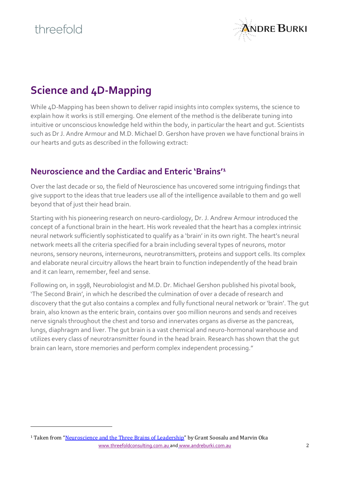$\overline{a}$ 



# **Science and 4D-Mapping**

While 4D-Mapping has been shown to deliver rapid insights into complex systems, the science to explain how it works is still emerging. One element of the method is the deliberate tuning into intuitive or unconscious knowledge held within the body, in particular the heart and gut. Scientists such as Dr J. Andre Armour and M.D. Michael D. Gershon have proven we have functional brains in our hearts and guts as described in the following extract:

### **Neuroscience and the Cardiac and Enteric 'Brains'<sup>1</sup>**

Over the last decade or so, the field of Neuroscience has uncovered some intriguing findings that give support to the ideas that true leaders use all of the intelligence available to them and go well beyond that of just their head brain.

Starting with his pioneering research on neuro-cardiology, Dr. J. Andrew Armour introduced the concept of a functional brain in the heart. His work revealed that the heart has a complex intrinsic neural network sufficiently sophisticated to qualify as a 'brain' in its own right. The heart's neural network meets all the criteria specified for a brain including several types of neurons, motor neurons, sensory neurons, interneurons, neurotransmitters, proteins and support cells. Its complex and elaborate neural circuitry allows the heart brain to function independently of the head brain and it can learn, remember, feel and sense.

Following on, in 1998, Neurobiologist and M.D. Dr. Michael Gershon published his pivotal book, 'The Second Brain', in which he described the culmination of over a decade of research and discovery that the gut also contains a complex and fully functional neural network or 'brain'. The gut brain, also known as the enteric brain, contains over 500 million neurons and sends and receives nerve signals throughout the chest and torso and innervates organs as diverse as the pancreas, lungs, diaphragm and liver. The gut brain is a vast chemical and neuro-hormonal warehouse and utilizes every class of neurotransmitter found in the head brain. Research has shown that the gut brain can learn, store memories and perform complex independent processing."

[www.threefoldconsulting.com.au](http://www.threefoldconsulting.com.au/) and [www.andreburki.com.au](http://www.andreburki.com.au/) 2 <sup>1</sup> Taken from "[Neuroscience and the Three Brains of Leadership](https://www.leader-values.com/FCKfiles/Media/mBIT%20and%20Leadership%20article.pdf)" by Grant Soosalu and Marvin Oka